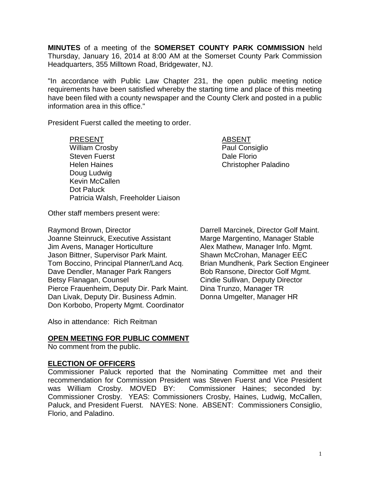**MINUTES** of a meeting of the **SOMERSET COUNTY PARK COMMISSION** held Thursday, January 16, 2014 at 8:00 AM at the Somerset County Park Commission Headquarters, 355 Milltown Road, Bridgewater, NJ.

"In accordance with Public Law Chapter 231, the open public meeting notice requirements have been satisfied whereby the starting time and place of this meeting have been filed with a county newspaper and the County Clerk and posted in a public information area in this office."

President Fuerst called the meeting to order.

## PRESENT ABSENT

William Crosby **Paul Consiglio** Steven Fuerst **Dale Florio Dale Florio** Helen Haines Christopher Paladino Doug Ludwig Kevin McCallen Dot Paluck Patricia Walsh, Freeholder Liaison

Other staff members present were:

Raymond Brown, Director **Darrell Marcinek, Director Golf Maint.** Joanne Steinruck, Executive Assistant Marge Margentino, Manager Stable Jim Avens, Manager Horticulture **Alex Mathew, Manager Info. Mgmt.** Jason Bittner, Supervisor Park Maint. Shawn McCrohan, Manager EEC Tom Boccino, Principal Planner/Land Acq. Brian Mundhenk, Park Section Engineer Dave Dendler, Manager Park Rangers Bob Ransone, Director Golf Mgmt. Betsy Flanagan, Counsel **Counsel Cindie Sullivan, Deputy Director** Pierce Frauenheim, Deputy Dir. Park Maint. Dina Trunzo, Manager TR Dan Livak, Deputy Dir. Business Admin. Donna Umgelter, Manager HR Don Korbobo, Property Mgmt. Coordinator

Also in attendance: Rich Reitman

### **OPEN MEETING FOR PUBLIC COMMENT**

No comment from the public.

### **ELECTION OF OFFICERS**

Commissioner Paluck reported that the Nominating Committee met and their recommendation for Commission President was Steven Fuerst and Vice President was William Crosby. MOVED BY: Commissioner Haines; seconded by: Commissioner Crosby. YEAS: Commissioners Crosby, Haines, Ludwig, McCallen, Paluck, and President Fuerst. NAYES: None. ABSENT: Commissioners Consiglio, Florio, and Paladino.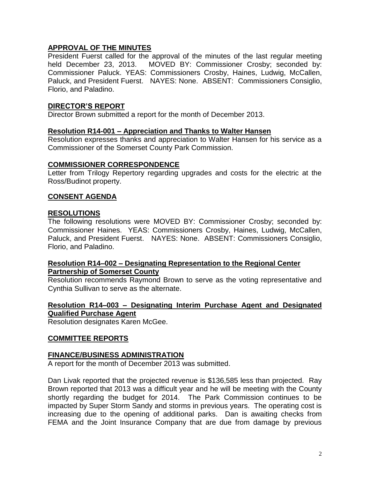# **APPROVAL OF THE MINUTES**

President Fuerst called for the approval of the minutes of the last regular meeting held December 23, 2013. MOVED BY: Commissioner Crosby; seconded by: Commissioner Paluck. YEAS: Commissioners Crosby, Haines, Ludwig, McCallen, Paluck, and President Fuerst. NAYES: None. ABSENT: Commissioners Consiglio, Florio, and Paladino.

# **DIRECTOR'S REPORT**

Director Brown submitted a report for the month of December 2013.

#### **Resolution R14-001 – Appreciation and Thanks to Walter Hansen**

Resolution expresses thanks and appreciation to Walter Hansen for his service as a Commissioner of the Somerset County Park Commission.

#### **COMMISSIONER CORRESPONDENCE**

Letter from Trilogy Repertory regarding upgrades and costs for the electric at the Ross/Budinot property.

### **CONSENT AGENDA**

#### **RESOLUTIONS**

The following resolutions were MOVED BY: Commissioner Crosby; seconded by: Commissioner Haines. YEAS: Commissioners Crosby, Haines, Ludwig, McCallen, Paluck, and President Fuerst. NAYES: None. ABSENT: Commissioners Consiglio, Florio, and Paladino.

#### **Resolution R14–002 – Designating Representation to the Regional Center Partnership of Somerset County**

Resolution recommends Raymond Brown to serve as the voting representative and Cynthia Sullivan to serve as the alternate.

# **Resolution R14–003 – Designating Interim Purchase Agent and Designated Qualified Purchase Agent**

Resolution designates Karen McGee.

### **COMMITTEE REPORTS**

#### **FINANCE/BUSINESS ADMINISTRATION**

A report for the month of December 2013 was submitted.

Dan Livak reported that the projected revenue is \$136,585 less than projected. Ray Brown reported that 2013 was a difficult year and he will be meeting with the County shortly regarding the budget for 2014. The Park Commission continues to be impacted by Super Storm Sandy and storms in previous years. The operating cost is increasing due to the opening of additional parks. Dan is awaiting checks from FEMA and the Joint Insurance Company that are due from damage by previous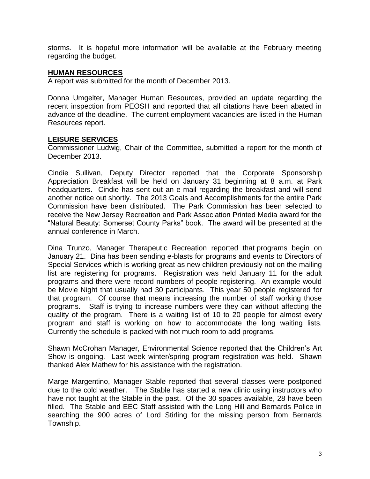storms. It is hopeful more information will be available at the February meeting regarding the budget.

#### **HUMAN RESOURCES**

A report was submitted for the month of December 2013.

Donna Umgelter, Manager Human Resources, provided an update regarding the recent inspection from PEOSH and reported that all citations have been abated in advance of the deadline. The current employment vacancies are listed in the Human Resources report.

### **LEISURE SERVICES**

Commissioner Ludwig, Chair of the Committee, submitted a report for the month of December 2013.

Cindie Sullivan, Deputy Director reported that the Corporate Sponsorship Appreciation Breakfast will be held on January 31 beginning at 8 a.m. at Park headquarters. Cindie has sent out an e-mail regarding the breakfast and will send another notice out shortly. The 2013 Goals and Accomplishments for the entire Park Commission have been distributed. The Park Commission has been selected to receive the New Jersey Recreation and Park Association Printed Media award for the "Natural Beauty: Somerset County Parks" book. The award will be presented at the annual conference in March.

Dina Trunzo, Manager Therapeutic Recreation reported that programs begin on January 21. Dina has been sending e-blasts for programs and events to Directors of Special Services which is working great as new children previously not on the mailing list are registering for programs. Registration was held January 11 for the adult programs and there were record numbers of people registering. An example would be Movie Night that usually had 30 participants. This year 50 people registered for that program. Of course that means increasing the number of staff working those programs. Staff is trying to increase numbers were they can without affecting the quality of the program. There is a waiting list of 10 to 20 people for almost every program and staff is working on how to accommodate the long waiting lists. Currently the schedule is packed with not much room to add programs.

Shawn McCrohan Manager, Environmental Science reported that the Children's Art Show is ongoing. Last week winter/spring program registration was held. Shawn thanked Alex Mathew for his assistance with the registration.

Marge Margentino, Manager Stable reported that several classes were postponed due to the cold weather. The Stable has started a new clinic using instructors who have not taught at the Stable in the past. Of the 30 spaces available, 28 have been filled. The Stable and EEC Staff assisted with the Long Hill and Bernards Police in searching the 900 acres of Lord Stirling for the missing person from Bernards Township.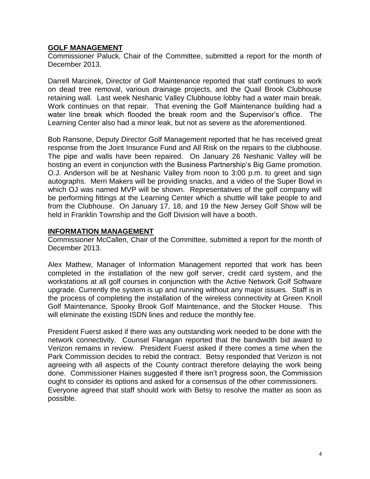## **GOLF MANAGEMENT**

Commissioner Paluck, Chair of the Committee, submitted a report for the month of December 2013.

Darrell Marcinek, Director of Golf Maintenance reported that staff continues to work on dead tree removal, various drainage projects, and the Quail Brook Clubhouse retaining wall. Last week Neshanic Valley Clubhouse lobby had a water main break. Work continues on that repair. That evening the Golf Maintenance building had a water line break which flooded the break room and the Supervisor's office. The Learning Center also had a minor leak, but not as severe as the aforementioned.

Bob Ransone, Deputy Director Golf Management reported that he has received great response from the Joint Insurance Fund and All Risk on the repairs to the clubhouse. The pipe and walls have been repaired. On January 26 Neshanic Valley will be hosting an event in conjunction with the Business Partnership's Big Game promotion. O.J. Anderson will be at Neshanic Valley from noon to 3:00 p.m. to greet and sign autographs. Merri Makers will be providing snacks, and a video of the Super Bowl in which OJ was named MVP will be shown. Representatives of the golf company will be performing fittings at the Learning Center which a shuttle will take people to and from the Clubhouse. On January 17, 18, and 19 the New Jersey Golf Show will be held in Franklin Township and the Golf Division will have a booth.

#### **INFORMATION MANAGEMENT**

Commissioner McCallen, Chair of the Committee, submitted a report for the month of December 2013.

Alex Mathew, Manager of Information Management reported that work has been completed in the installation of the new golf server, credit card system, and the workstations at all golf courses in conjunction with the Active Network Golf Software upgrade. Currently the system is up and running without any major issues. Staff is in the process of completing the installation of the wireless connectivity at Green Knoll Golf Maintenance, Spooky Brook Golf Maintenance, and the Stocker House. This will eliminate the existing ISDN lines and reduce the monthly fee.

President Fuerst asked if there was any outstanding work needed to be done with the network connectivity. Counsel Flanagan reported that the bandwidth bid award to Verizon remains in review. President Fuerst asked if there comes a time when the Park Commission decides to rebid the contract. Betsy responded that Verizon is not agreeing with all aspects of the County contract therefore delaying the work being done. Commissioner Haines suggested if there isn't progress soon, the Commission ought to consider its options and asked for a consensus of the other commissioners. Everyone agreed that staff should work with Betsy to resolve the matter as soon as possible.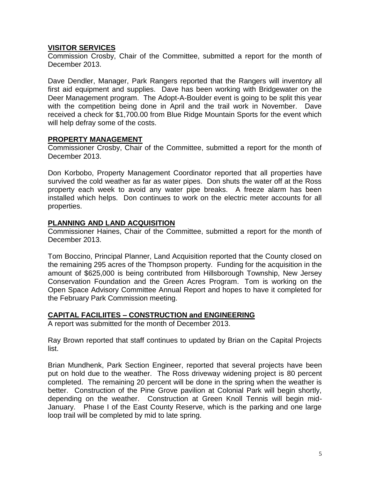## **VISITOR SERVICES**

Commission Crosby, Chair of the Committee, submitted a report for the month of December 2013.

Dave Dendler, Manager, Park Rangers reported that the Rangers will inventory all first aid equipment and supplies. Dave has been working with Bridgewater on the Deer Management program. The Adopt-A-Boulder event is going to be split this year with the competition being done in April and the trail work in November. Dave received a check for \$1,700.00 from Blue Ridge Mountain Sports for the event which will help defray some of the costs.

#### **PROPERTY MANAGEMENT**

Commissioner Crosby, Chair of the Committee, submitted a report for the month of December 2013.

Don Korbobo, Property Management Coordinator reported that all properties have survived the cold weather as far as water pipes. Don shuts the water off at the Ross property each week to avoid any water pipe breaks. A freeze alarm has been installed which helps. Don continues to work on the electric meter accounts for all properties.

### **PLANNING AND LAND ACQUISITION**

Commissioner Haines, Chair of the Committee, submitted a report for the month of December 2013.

Tom Boccino, Principal Planner, Land Acquisition reported that the County closed on the remaining 295 acres of the Thompson property. Funding for the acquisition in the amount of \$625,000 is being contributed from Hillsborough Township, New Jersey Conservation Foundation and the Green Acres Program. Tom is working on the Open Space Advisory Committee Annual Report and hopes to have it completed for the February Park Commission meeting.

### **CAPITAL FACILIITES – CONSTRUCTION and ENGINEERING**

A report was submitted for the month of December 2013.

Ray Brown reported that staff continues to updated by Brian on the Capital Projects list.

Brian Mundhenk, Park Section Engineer, reported that several projects have been put on hold due to the weather. The Ross driveway widening project is 80 percent completed. The remaining 20 percent will be done in the spring when the weather is better. Construction of the Pine Grove pavilion at Colonial Park will begin shortly, depending on the weather. Construction at Green Knoll Tennis will begin mid-January. Phase I of the East County Reserve, which is the parking and one large loop trail will be completed by mid to late spring.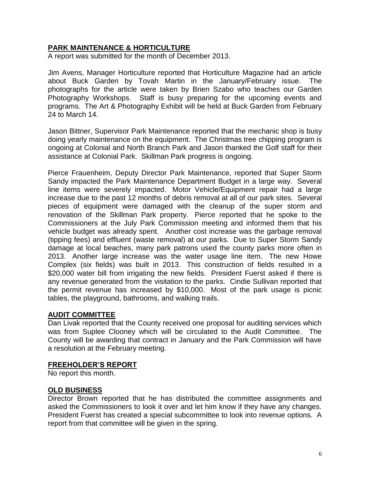# **PARK MAINTENANCE & HORTICULTURE**

A report was submitted for the month of December 2013.

Jim Avens, Manager Horticulture reported that Horticulture Magazine had an article about Buck Garden by Tovah Martin in the January/February issue. The photographs for the article were taken by Brien Szabo who teaches our Garden Photography Workshops. Staff is busy preparing for the upcoming events and programs. The Art & Photography Exhibit will be held at Buck Garden from February 24 to March 14.

Jason Bittner, Supervisor Park Maintenance reported that the mechanic shop is busy doing yearly maintenance on the equipment. The Christmas tree chipping program is ongoing at Colonial and North Branch Park and Jason thanked the Golf staff for their assistance at Colonial Park. Skillman Park progress is ongoing.

Pierce Frauenheim, Deputy Director Park Maintenance, reported that Super Storm Sandy impacted the Park Maintenance Department Budget in a large way. Several line items were severely impacted. Motor Vehicle/Equipment repair had a large increase due to the past 12 months of debris removal at all of our park sites. Several pieces of equipment were damaged with the cleanup of the super storm and renovation of the Skillman Park property. Pierce reported that he spoke to the Commissioners at the July Park Commission meeting and informed them that his vehicle budget was already spent. Another cost increase was the garbage removal (tipping fees) and effluent (waste removal) at our parks. Due to Super Storm Sandy damage at local beaches, many park patrons used the county parks more often in 2013. Another large increase was the water usage line item. The new Howe Complex (six fields) was built in 2013. This construction of fields resulted in a \$20,000 water bill from irrigating the new fields. President Fuerst asked if there is any revenue generated from the visitation to the parks. Cindie Sullivan reported that the permit revenue has increased by \$10,000. Most of the park usage is picnic tables, the playground, bathrooms, and walking trails.

### **AUDIT COMMITTEE**

Dan Livak reported that the County received one proposal for auditing services which was from Suplee Clooney which will be circulated to the Audit Committee. The County will be awarding that contract in January and the Park Commission will have a resolution at the February meeting.

#### **FREEHOLDER'S REPORT**

No report this month.

### **OLD BUSINESS**

Director Brown reported that he has distributed the committee assignments and asked the Commissioners to look it over and let him know if they have any changes. President Fuerst has created a special subcommittee to look into revenue options. A report from that committee will be given in the spring.